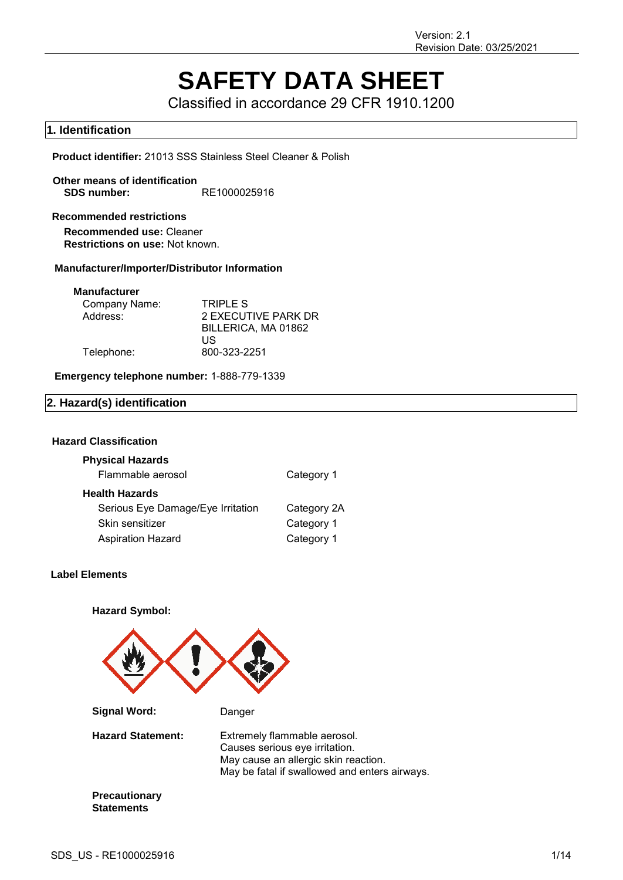# **SAFETY DATA SHEET**

Classified in accordance 29 CFR 1910.1200

# **1. Identification**

**Product identifier:** 21013 SSS Stainless Steel Cleaner & Polish

**Other means of identification SDS number:** RE1000025916

## **Recommended restrictions**

**Recommended use:** Cleaner **Restrictions on use:** Not known.

## **Manufacturer/Importer/Distributor Information**

#### **Manufacturer**

| Company Name: | TRIPLE S            |
|---------------|---------------------|
| Address:      | 2 EXECUTIVE PARK DR |
|               | BILLERICA, MA 01862 |
|               | US                  |
| Telephone:    | 800-323-2251        |

## **Emergency telephone number:** 1-888-779-1339

## **2. Hazard(s) identification**

## **Hazard Classification**

| <b>Physical Hazards</b>           |             |
|-----------------------------------|-------------|
| Flammable aerosol                 | Category 1  |
| <b>Health Hazards</b>             |             |
| Serious Eye Damage/Eye Irritation | Category 2A |
| Skin sensitizer                   | Category 1  |
| <b>Aspiration Hazard</b>          | Category 1  |

## **Label Elements**

**Hazard Symbol:**



**Signal Word:** Danger **Hazard Statement:** Extremely flammable aerosol. Causes serious eye irritation. May cause an allergic skin reaction. May be fatal if swallowed and enters airways.

**Precautionary Statements**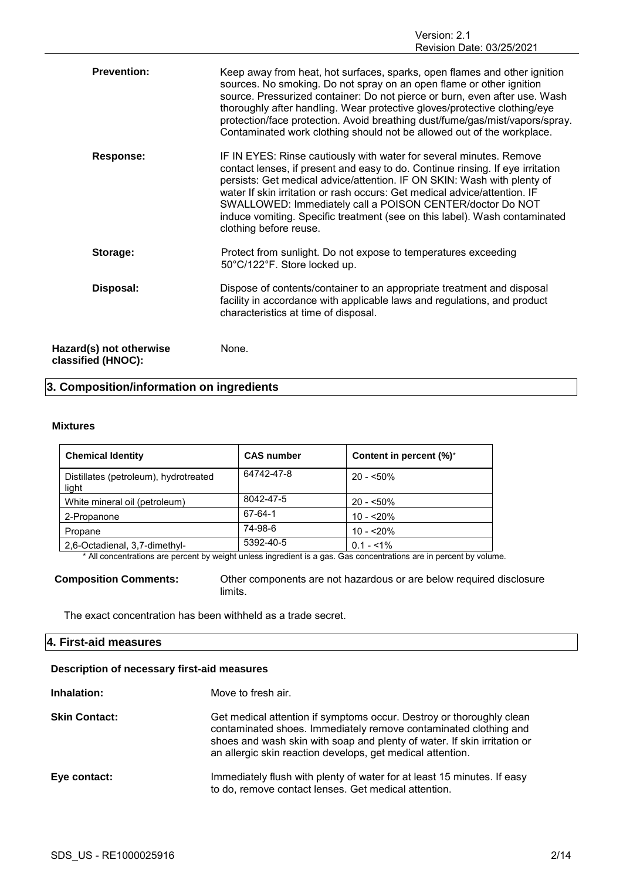| <b>Prevention:</b>                            | Keep away from heat, hot surfaces, sparks, open flames and other ignition<br>sources. No smoking. Do not spray on an open flame or other ignition<br>source. Pressurized container: Do not pierce or burn, even after use. Wash<br>thoroughly after handling. Wear protective gloves/protective clothing/eye<br>protection/face protection. Avoid breathing dust/fume/gas/mist/vapors/spray.<br>Contaminated work clothing should not be allowed out of the workplace.             |
|-----------------------------------------------|------------------------------------------------------------------------------------------------------------------------------------------------------------------------------------------------------------------------------------------------------------------------------------------------------------------------------------------------------------------------------------------------------------------------------------------------------------------------------------|
| <b>Response:</b>                              | IF IN EYES: Rinse cautiously with water for several minutes. Remove<br>contact lenses, if present and easy to do. Continue rinsing. If eye irritation<br>persists: Get medical advice/attention. IF ON SKIN: Wash with plenty of<br>water If skin irritation or rash occurs: Get medical advice/attention. IF<br>SWALLOWED: Immediately call a POISON CENTER/doctor Do NOT<br>induce vomiting. Specific treatment (see on this label). Wash contaminated<br>clothing before reuse. |
| Storage:                                      | Protect from sunlight. Do not expose to temperatures exceeding<br>50°C/122°F. Store locked up.                                                                                                                                                                                                                                                                                                                                                                                     |
| Disposal:                                     | Dispose of contents/container to an appropriate treatment and disposal<br>facility in accordance with applicable laws and regulations, and product<br>characteristics at time of disposal.                                                                                                                                                                                                                                                                                         |
| Hazard(s) not otherwise<br>classified (HNOC): | None.                                                                                                                                                                                                                                                                                                                                                                                                                                                                              |

# **3. Composition/information on ingredients**

## **Mixtures**

| <b>Chemical Identity</b>                       | <b>CAS number</b> | Content in percent (%)* |
|------------------------------------------------|-------------------|-------------------------|
| Distillates (petroleum), hydrotreated<br>light | 64742-47-8        | $20 - 50\%$             |
| White mineral oil (petroleum)                  | 8042-47-5         | $20 - 50\%$             |
| 2-Propanone                                    | 67-64-1           | $10 - 520%$             |
| Propane                                        | 74-98-6           | $10 - 20%$              |
| 2,6-Octadienal, 3,7-dimethyl-                  | 5392-40-5         | $0.1 - 51\%$            |

\* All concentrations are percent by weight unless ingredient is a gas. Gas concentrations are in percent by volume.

**Composition Comments:** Other components are not hazardous or are below required disclosure limits.

The exact concentration has been withheld as a trade secret.

# **4. First-aid measures**

## **Description of necessary first-aid measures**

| Inhalation:          | Move to fresh air.                                                                                                                                                                                                                                                                 |
|----------------------|------------------------------------------------------------------------------------------------------------------------------------------------------------------------------------------------------------------------------------------------------------------------------------|
| <b>Skin Contact:</b> | Get medical attention if symptoms occur. Destroy or thoroughly clean<br>contaminated shoes. Immediately remove contaminated clothing and<br>shoes and wash skin with soap and plenty of water. If skin irritation or<br>an allergic skin reaction develops, get medical attention. |
| Eye contact:         | Immediately flush with plenty of water for at least 15 minutes. If easy<br>to do, remove contact lenses. Get medical attention.                                                                                                                                                    |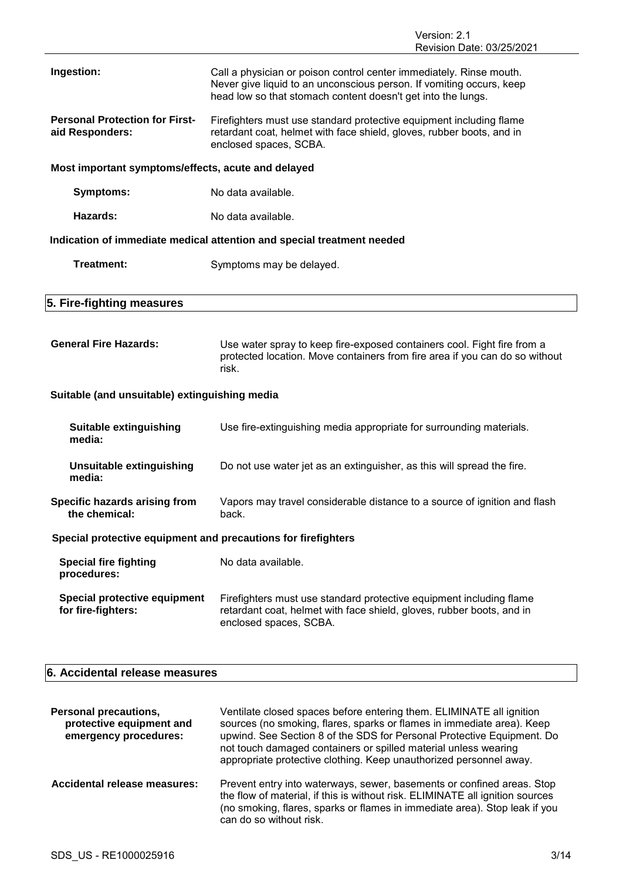|                                                               | <b>NEVISIUII DAIE. UJ/ZJ/ZUZ I</b>                                                                                                                                                                          |  |  |
|---------------------------------------------------------------|-------------------------------------------------------------------------------------------------------------------------------------------------------------------------------------------------------------|--|--|
| Ingestion:                                                    | Call a physician or poison control center immediately. Rinse mouth.<br>Never give liquid to an unconscious person. If vomiting occurs, keep<br>head low so that stomach content doesn't get into the lungs. |  |  |
| <b>Personal Protection for First-</b><br>aid Responders:      | Firefighters must use standard protective equipment including flame<br>retardant coat, helmet with face shield, gloves, rubber boots, and in<br>enclosed spaces, SCBA.                                      |  |  |
| Most important symptoms/effects, acute and delayed            |                                                                                                                                                                                                             |  |  |
| <b>Symptoms:</b>                                              | No data available.                                                                                                                                                                                          |  |  |
| <b>Hazards:</b>                                               | No data available.                                                                                                                                                                                          |  |  |
|                                                               | Indication of immediate medical attention and special treatment needed                                                                                                                                      |  |  |
| Treatment:                                                    | Symptoms may be delayed.                                                                                                                                                                                    |  |  |
|                                                               |                                                                                                                                                                                                             |  |  |
| 5. Fire-fighting measures                                     |                                                                                                                                                                                                             |  |  |
| <b>General Fire Hazards:</b>                                  | Use water spray to keep fire-exposed containers cool. Fight fire from a<br>protected location. Move containers from fire area if you can do so without<br>risk.                                             |  |  |
| Suitable (and unsuitable) extinguishing media                 |                                                                                                                                                                                                             |  |  |
| <b>Suitable extinguishing</b><br>media:                       | Use fire-extinguishing media appropriate for surrounding materials.                                                                                                                                         |  |  |
| <b>Unsuitable extinguishing</b><br>media:                     | Do not use water jet as an extinguisher, as this will spread the fire.                                                                                                                                      |  |  |
| Specific hazards arising from<br>the chemical:                | Vapors may travel considerable distance to a source of ignition and flash<br>back.                                                                                                                          |  |  |
| Special protective equipment and precautions for firefighters |                                                                                                                                                                                                             |  |  |
| <b>Special fire fighting</b><br>procedures:                   | No data available.                                                                                                                                                                                          |  |  |
| Special protective equipment<br>for fire-fighters:            | Firefighters must use standard protective equipment including flame<br>retardant coat, helmet with face shield, gloves, rubber boots, and in<br>enclosed spaces, SCBA.                                      |  |  |

# **6. Accidental release measures**

| <b>Personal precautions,</b><br>protective equipment and<br>emergency procedures: | Ventilate closed spaces before entering them. ELIMINATE all ignition<br>sources (no smoking, flares, sparks or flames in immediate area). Keep<br>upwind. See Section 8 of the SDS for Personal Protective Equipment. Do<br>not touch damaged containers or spilled material unless wearing<br>appropriate protective clothing. Keep unauthorized personnel away. |
|-----------------------------------------------------------------------------------|-------------------------------------------------------------------------------------------------------------------------------------------------------------------------------------------------------------------------------------------------------------------------------------------------------------------------------------------------------------------|
| Accidental release measures:                                                      | Prevent entry into waterways, sewer, basements or confined areas. Stop<br>the flow of material, if this is without risk. ELIMINATE all ignition sources<br>(no smoking, flares, sparks or flames in immediate area). Stop leak if you<br>can do so without risk.                                                                                                  |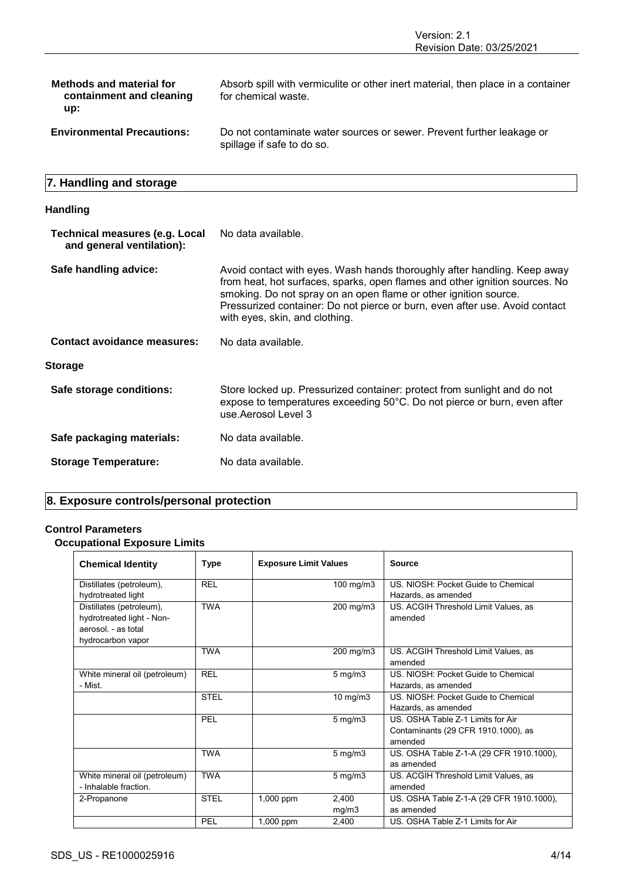| <b>Methods and material for</b><br>containment and cleaning<br>up: | Absorb spill with vermiculite or other inert material, then place in a container<br>for chemical waste. |
|--------------------------------------------------------------------|---------------------------------------------------------------------------------------------------------|
| <b>Environmental Precautions:</b>                                  | Do not contaminate water sources or sewer. Prevent further leakage or<br>spillage if safe to do so.     |

# **7. Handling and storage**

## **Handling**

| <b>Technical measures (e.g. Local</b><br>and general ventilation): | No data available.                                                                                                                                                                                                                                                                                                                           |
|--------------------------------------------------------------------|----------------------------------------------------------------------------------------------------------------------------------------------------------------------------------------------------------------------------------------------------------------------------------------------------------------------------------------------|
| Safe handling advice:                                              | Avoid contact with eyes. Wash hands thoroughly after handling. Keep away<br>from heat, hot surfaces, sparks, open flames and other ignition sources. No<br>smoking. Do not spray on an open flame or other ignition source.<br>Pressurized container: Do not pierce or burn, even after use. Avoid contact<br>with eyes, skin, and clothing. |
| <b>Contact avoidance measures:</b>                                 | No data available.                                                                                                                                                                                                                                                                                                                           |
| Storage                                                            |                                                                                                                                                                                                                                                                                                                                              |
| Safe storage conditions:                                           | Store locked up. Pressurized container: protect from sunlight and do not<br>expose to temperatures exceeding 50°C. Do not pierce or burn, even after<br>use Aerosol Level 3                                                                                                                                                                  |
| Safe packaging materials:                                          | No data available.                                                                                                                                                                                                                                                                                                                           |
| <b>Storage Temperature:</b>                                        | No data available.                                                                                                                                                                                                                                                                                                                           |

# **8. Exposure controls/personal protection**

## **Control Parameters**

# **Occupational Exposure Limits**

| <b>Chemical Identity</b>                                                                          | Type        | <b>Exposure Limit Values</b> |                    | <b>Source</b>                                                                       |
|---------------------------------------------------------------------------------------------------|-------------|------------------------------|--------------------|-------------------------------------------------------------------------------------|
| Distillates (petroleum),<br>hydrotreated light                                                    | <b>REL</b>  | 100 mg/m3                    |                    | US, NIOSH: Pocket Guide to Chemical<br>Hazards, as amended                          |
| Distillates (petroleum),<br>hydrotreated light - Non-<br>aerosol. - as total<br>hydrocarbon vapor | <b>TWA</b>  | 200 mg/m3                    |                    | US. ACGIH Threshold Limit Values, as<br>amended                                     |
|                                                                                                   | <b>TWA</b>  |                              | 200 mg/m3          | US. ACGIH Threshold Limit Values, as<br>amended                                     |
| White mineral oil (petroleum)<br>- Mist.                                                          | <b>REL</b>  |                              | $5 \text{ mg/m}$ 3 | US, NIOSH: Pocket Guide to Chemical<br>Hazards, as amended                          |
|                                                                                                   | <b>STEL</b> |                              | $10$ mg/m $3$      | US, NIOSH: Pocket Guide to Chemical<br>Hazards, as amended                          |
|                                                                                                   | PEL         |                              | $5 \text{ mg/m}$ 3 | US. OSHA Table Z-1 Limits for Air<br>Contaminants (29 CFR 1910.1000), as<br>amended |
|                                                                                                   | <b>TWA</b>  |                              | $5 \text{ mg/m}$ 3 | US. OSHA Table Z-1-A (29 CFR 1910.1000),<br>as amended                              |
| White mineral oil (petroleum)<br>- Inhalable fraction                                             | <b>TWA</b>  |                              | $5 \text{ mg/m}$   | US. ACGIH Threshold Limit Values, as<br>amended                                     |
| 2-Propanone                                                                                       | <b>STEL</b> | $1,000$ ppm                  | 2,400<br>mg/m3     | US. OSHA Table Z-1-A (29 CFR 1910.1000),<br>as amended                              |
|                                                                                                   | PEL         | $1,000$ ppm                  | 2,400              | US. OSHA Table Z-1 Limits for Air                                                   |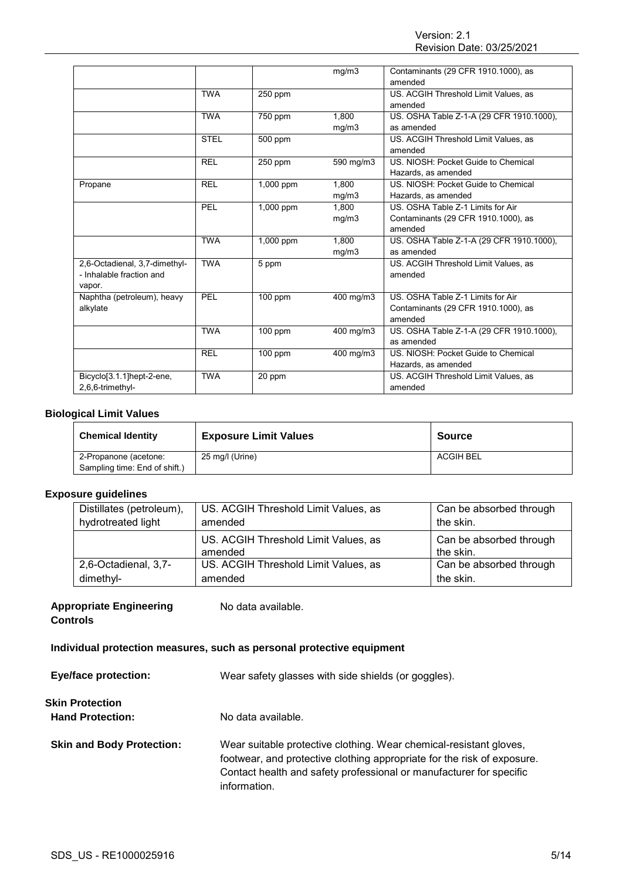|                               |             |           | mg/m3     | Contaminants (29 CFR 1910.1000), as      |
|-------------------------------|-------------|-----------|-----------|------------------------------------------|
|                               |             |           |           | amended                                  |
|                               | <b>TWA</b>  | 250 ppm   |           | US. ACGIH Threshold Limit Values, as     |
|                               |             |           |           | amended                                  |
|                               | <b>TWA</b>  | 750 ppm   | 1.800     | US. OSHA Table Z-1-A (29 CFR 1910.1000), |
|                               |             |           | mg/m3     | as amended                               |
|                               | <b>STEL</b> | 500 ppm   |           | US. ACGIH Threshold Limit Values, as     |
|                               |             |           |           | amended                                  |
|                               | <b>REL</b>  | $250$ ppm | 590 mg/m3 | US. NIOSH: Pocket Guide to Chemical      |
|                               |             |           |           | Hazards, as amended                      |
| Propane                       | <b>REL</b>  | 1,000 ppm | 1.800     | US. NIOSH: Pocket Guide to Chemical      |
|                               |             |           | mg/m3     | Hazards, as amended                      |
|                               | PEL         | 1,000 ppm | 1.800     | US. OSHA Table Z-1 Limits for Air        |
|                               |             |           | mg/m3     | Contaminants (29 CFR 1910.1000), as      |
|                               |             |           |           | amended                                  |
|                               | <b>TWA</b>  | 1,000 ppm | 1.800     | US. OSHA Table Z-1-A (29 CFR 1910.1000), |
|                               |             |           | mg/m3     | as amended                               |
| 2,6-Octadienal, 3,7-dimethyl- | <b>TWA</b>  | 5 ppm     |           | US. ACGIH Threshold Limit Values, as     |
| - Inhalable fraction and      |             |           |           | amended                                  |
| vapor.                        |             |           |           |                                          |
| Naphtha (petroleum), heavy    | PEL         | $100$ ppm | 400 mg/m3 | US. OSHA Table Z-1 Limits for Air        |
| alkylate                      |             |           |           | Contaminants (29 CFR 1910.1000), as      |
|                               |             |           |           | amended                                  |
|                               | <b>TWA</b>  | $100$ ppm | 400 mg/m3 | US. OSHA Table Z-1-A (29 CFR 1910.1000), |
|                               |             |           |           | as amended                               |
|                               | <b>REL</b>  | 100 ppm   | 400 mg/m3 | US. NIOSH: Pocket Guide to Chemical      |
|                               |             |           |           | Hazards, as amended                      |
| Bicyclo[3.1.1]hept-2-ene,     | <b>TWA</b>  | 20 ppm    |           | US. ACGIH Threshold Limit Values, as     |
| 2,6,6-trimethyl-              |             |           |           | amended                                  |
|                               |             |           |           |                                          |

## **Biological Limit Values**

| <b>Chemical Identity</b>      | <b>Exposure Limit Values</b> | <b>Source</b> |
|-------------------------------|------------------------------|---------------|
| 2-Propanone (acetone:         | 25 mg/l (Urine)              | ACGIH BEL     |
| Sampling time: End of shift.) |                              |               |

## **Exposure guidelines**

| Distillates (petroleum), | US. ACGIH Threshold Limit Values, as            | Can be absorbed through              |
|--------------------------|-------------------------------------------------|--------------------------------------|
| hydrotreated light       | amended                                         | the skin.                            |
|                          | US. ACGIH Threshold Limit Values, as<br>amended | Can be absorbed through<br>the skin. |
| 2,6-Octadienal, 3,7-     | US. ACGIH Threshold Limit Values, as            | Can be absorbed through              |
| dimethyl-                | amended                                         | the skin.                            |

# **Appropriate Engineering**

No data available.

**Controls**

# **Individual protection measures, such as personal protective equipment**

| <b>Eye/face protection:</b>                | Wear safety glasses with side shields (or goggles).                                                                                                                                                                                  |  |
|--------------------------------------------|--------------------------------------------------------------------------------------------------------------------------------------------------------------------------------------------------------------------------------------|--|
| Skin Protection<br><b>Hand Protection:</b> | No data available.                                                                                                                                                                                                                   |  |
| <b>Skin and Body Protection:</b>           | Wear suitable protective clothing. Wear chemical-resistant gloves,<br>footwear, and protective clothing appropriate for the risk of exposure.<br>Contact health and safety professional or manufacturer for specific<br>information. |  |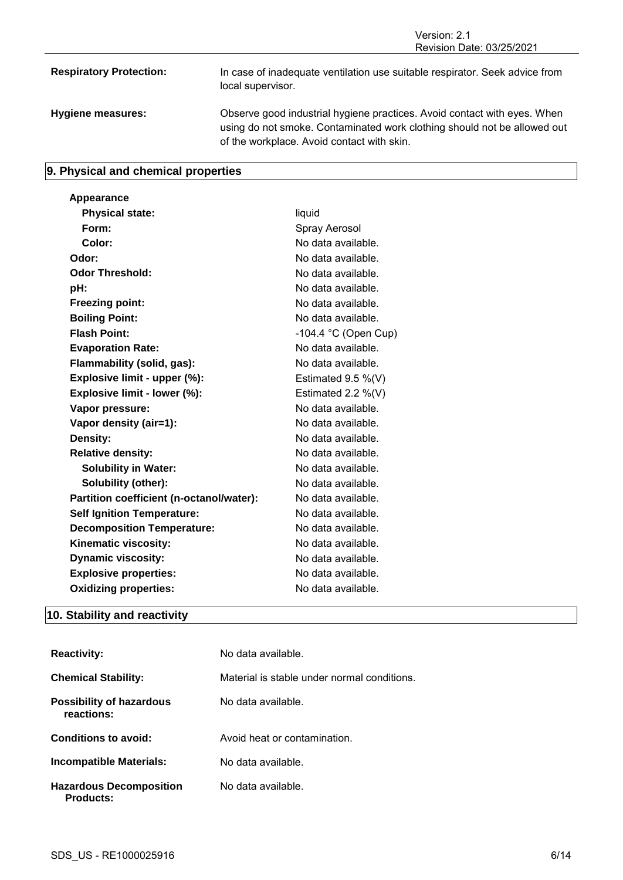Revision Date: 03/25/2021 **Respiratory Protection:** In case of inadequate ventilation use suitable respirator. Seek advice from local supervisor. **Hygiene measures:** Observe good industrial hygiene practices. Avoid contact with eyes. When using do not smoke. Contaminated work clothing should not be allowed out of the workplace. Avoid contact with skin.

Version: 2.1

# **9. Physical and chemical properties**

| Appearance                               |                                |
|------------------------------------------|--------------------------------|
| <b>Physical state:</b>                   | liquid                         |
| Form:                                    | Spray Aerosol                  |
| Color:                                   | No data available.             |
| Odor:                                    | No data available.             |
| <b>Odor Threshold:</b>                   | No data available.             |
| pH:                                      | No data available.             |
| <b>Freezing point:</b>                   | No data available.             |
| <b>Boiling Point:</b>                    | No data available.             |
| <b>Flash Point:</b>                      | -104.4 $^{\circ}$ C (Open Cup) |
| <b>Evaporation Rate:</b>                 | No data available.             |
| Flammability (solid, gas):               | No data available.             |
| Explosive limit - upper (%):             | Estimated $9.5\%$ (V)          |
| Explosive limit - lower (%):             | Estimated 2.2 $%$ (V)          |
| Vapor pressure:                          | No data available.             |
| Vapor density (air=1):                   | No data available.             |
| Density:                                 | No data available.             |
| <b>Relative density:</b>                 | No data available.             |
| <b>Solubility in Water:</b>              | No data available.             |
| Solubility (other):                      | No data available.             |
| Partition coefficient (n-octanol/water): | No data available.             |
| <b>Self Ignition Temperature:</b>        | No data available.             |
| <b>Decomposition Temperature:</b>        | No data available.             |
| Kinematic viscosity:                     | No data available.             |
| <b>Dynamic viscosity:</b>                | No data available.             |
| <b>Explosive properties:</b>             | No data available.             |
| <b>Oxidizing properties:</b>             | No data available.             |
|                                          |                                |

# **10. Stability and reactivity**

| <b>Reactivity:</b>                                 | No data available.                          |
|----------------------------------------------------|---------------------------------------------|
| <b>Chemical Stability:</b>                         | Material is stable under normal conditions. |
| Possibility of hazardous<br>reactions:             | No data available.                          |
| Conditions to avoid:                               | Avoid heat or contamination.                |
| Incompatible Materials:                            | No data available.                          |
| <b>Hazardous Decomposition</b><br><b>Products:</b> | No data available.                          |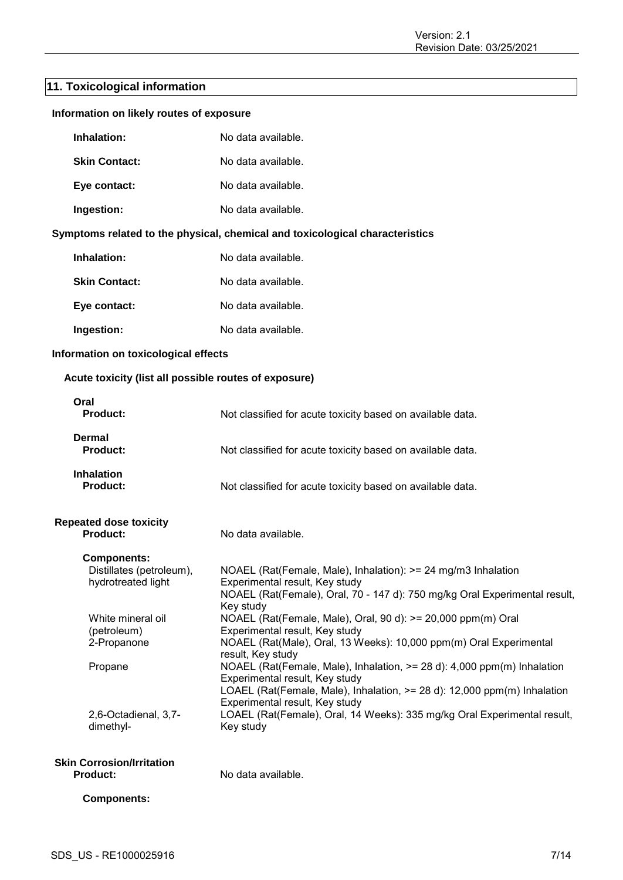# **11. Toxicological information**

| Information on likely routes of exposure                                                                                                                   |                                                                                                                                                                                                                                                                                                                                                                                                                                                                                                                                                                                                                                                                                                |
|------------------------------------------------------------------------------------------------------------------------------------------------------------|------------------------------------------------------------------------------------------------------------------------------------------------------------------------------------------------------------------------------------------------------------------------------------------------------------------------------------------------------------------------------------------------------------------------------------------------------------------------------------------------------------------------------------------------------------------------------------------------------------------------------------------------------------------------------------------------|
| Inhalation:                                                                                                                                                | No data available.                                                                                                                                                                                                                                                                                                                                                                                                                                                                                                                                                                                                                                                                             |
| <b>Skin Contact:</b>                                                                                                                                       | No data available.                                                                                                                                                                                                                                                                                                                                                                                                                                                                                                                                                                                                                                                                             |
| Eye contact:                                                                                                                                               | No data available.                                                                                                                                                                                                                                                                                                                                                                                                                                                                                                                                                                                                                                                                             |
| Ingestion:                                                                                                                                                 | No data available.                                                                                                                                                                                                                                                                                                                                                                                                                                                                                                                                                                                                                                                                             |
|                                                                                                                                                            | Symptoms related to the physical, chemical and toxicological characteristics                                                                                                                                                                                                                                                                                                                                                                                                                                                                                                                                                                                                                   |
| Inhalation:                                                                                                                                                | No data available.                                                                                                                                                                                                                                                                                                                                                                                                                                                                                                                                                                                                                                                                             |
| <b>Skin Contact:</b>                                                                                                                                       | No data available.                                                                                                                                                                                                                                                                                                                                                                                                                                                                                                                                                                                                                                                                             |
| Eye contact:                                                                                                                                               | No data available.                                                                                                                                                                                                                                                                                                                                                                                                                                                                                                                                                                                                                                                                             |
| Ingestion:                                                                                                                                                 | No data available.                                                                                                                                                                                                                                                                                                                                                                                                                                                                                                                                                                                                                                                                             |
| Information on toxicological effects                                                                                                                       |                                                                                                                                                                                                                                                                                                                                                                                                                                                                                                                                                                                                                                                                                                |
| Acute toxicity (list all possible routes of exposure)                                                                                                      |                                                                                                                                                                                                                                                                                                                                                                                                                                                                                                                                                                                                                                                                                                |
| Oral<br><b>Product:</b>                                                                                                                                    | Not classified for acute toxicity based on available data.                                                                                                                                                                                                                                                                                                                                                                                                                                                                                                                                                                                                                                     |
| <b>Dermal</b><br><b>Product:</b>                                                                                                                           | Not classified for acute toxicity based on available data.                                                                                                                                                                                                                                                                                                                                                                                                                                                                                                                                                                                                                                     |
| <b>Inhalation</b><br><b>Product:</b>                                                                                                                       | Not classified for acute toxicity based on available data.                                                                                                                                                                                                                                                                                                                                                                                                                                                                                                                                                                                                                                     |
| <b>Repeated dose toxicity</b><br><b>Product:</b>                                                                                                           | No data available.                                                                                                                                                                                                                                                                                                                                                                                                                                                                                                                                                                                                                                                                             |
| <b>Components:</b><br>Distillates (petroleum),<br>hydrotreated light<br>White mineral oil<br>(petroleum)<br>2-Propanone<br>Propane<br>2,6-Octadienal, 3,7- | NOAEL (Rat(Female, Male), Inhalation): >= 24 mg/m3 Inhalation<br>Experimental result, Key study<br>NOAEL (Rat(Female), Oral, 70 - 147 d): 750 mg/kg Oral Experimental result,<br>Key study<br>NOAEL (Rat(Female, Male), Oral, 90 d): >= 20,000 ppm(m) Oral<br>Experimental result, Key study<br>NOAEL (Rat(Male), Oral, 13 Weeks): 10,000 ppm(m) Oral Experimental<br>result, Key study<br>NOAEL (Rat(Female, Male), Inhalation, >= 28 d): 4,000 ppm(m) Inhalation<br>Experimental result, Key study<br>LOAEL (Rat(Female, Male), Inhalation, >= 28 d): 12,000 ppm(m) Inhalation<br>Experimental result, Key study<br>LOAEL (Rat(Female), Oral, 14 Weeks): 335 mg/kg Oral Experimental result, |
| dimethyl-<br><b>Skin Corrosion/Irritation</b><br><b>Product:</b><br><b>Components:</b>                                                                     | Key study<br>No data available.                                                                                                                                                                                                                                                                                                                                                                                                                                                                                                                                                                                                                                                                |
|                                                                                                                                                            |                                                                                                                                                                                                                                                                                                                                                                                                                                                                                                                                                                                                                                                                                                |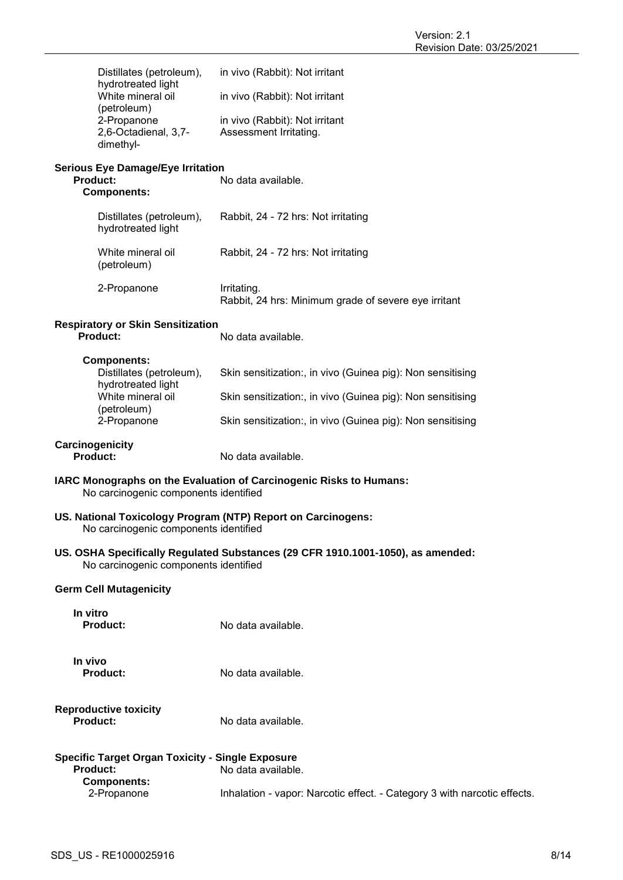| hydrotreated light<br>White mineral oil          | Distillates (petroleum),                                    | in vivo (Rabbit): Not irritant                                                  |
|--------------------------------------------------|-------------------------------------------------------------|---------------------------------------------------------------------------------|
|                                                  | (petroleum)                                                 | in vivo (Rabbit): Not irritant                                                  |
| 2-Propanone<br>2,6-Octadienal, 3,7-<br>dimethyl- |                                                             | in vivo (Rabbit): Not irritant<br>Assessment Irritating.                        |
|                                                  | <b>Serious Eye Damage/Eye Irritation</b><br><b>Product:</b> | No data available.                                                              |
|                                                  | <b>Components:</b>                                          |                                                                                 |
|                                                  | Distillates (petroleum),<br>hydrotreated light              | Rabbit, 24 - 72 hrs: Not irritating                                             |
|                                                  | White mineral oil<br>(petroleum)                            | Rabbit, 24 - 72 hrs: Not irritating                                             |
|                                                  | 2-Propanone                                                 | Irritating.<br>Rabbit, 24 hrs: Minimum grade of severe eye irritant             |
|                                                  | <b>Respiratory or Skin Sensitization</b><br><b>Product:</b> | No data available.                                                              |
|                                                  | <b>Components:</b><br>Distillates (petroleum),              | Skin sensitization:, in vivo (Guinea pig): Non sensitising                      |
|                                                  | hydrotreated light<br>White mineral oil                     | Skin sensitization:, in vivo (Guinea pig): Non sensitising                      |
|                                                  | (petroleum)                                                 |                                                                                 |
|                                                  | 2-Propanone                                                 | Skin sensitization:, in vivo (Guinea pig): Non sensitising                      |
|                                                  | Carcinogenicity<br><b>Product:</b>                          | No data available.                                                              |
|                                                  | No carcinogenic components identified                       | IARC Monographs on the Evaluation of Carcinogenic Risks to Humans:              |
|                                                  | No carcinogenic components identified                       | US. National Toxicology Program (NTP) Report on Carcinogens:                    |
|                                                  | No carcinogenic components identified                       | US. OSHA Specifically Regulated Substances (29 CFR 1910.1001-1050), as amended: |
|                                                  | <b>Germ Cell Mutagenicity</b>                               |                                                                                 |
| In vitro                                         | Product:                                                    | No data available.                                                              |
| In vivo                                          | <b>Product:</b>                                             | No data available.                                                              |
|                                                  | <b>Reproductive toxicity</b><br>Product:                    | No data available.                                                              |
|                                                  | <b>Specific Target Organ Toxicity - Single Exposure</b>     |                                                                                 |
|                                                  | Product:<br><b>Components:</b>                              | No data available.                                                              |
|                                                  | 2-Propanone                                                 | Inhalation - vapor: Narcotic effect. - Category 3 with narcotic effects.        |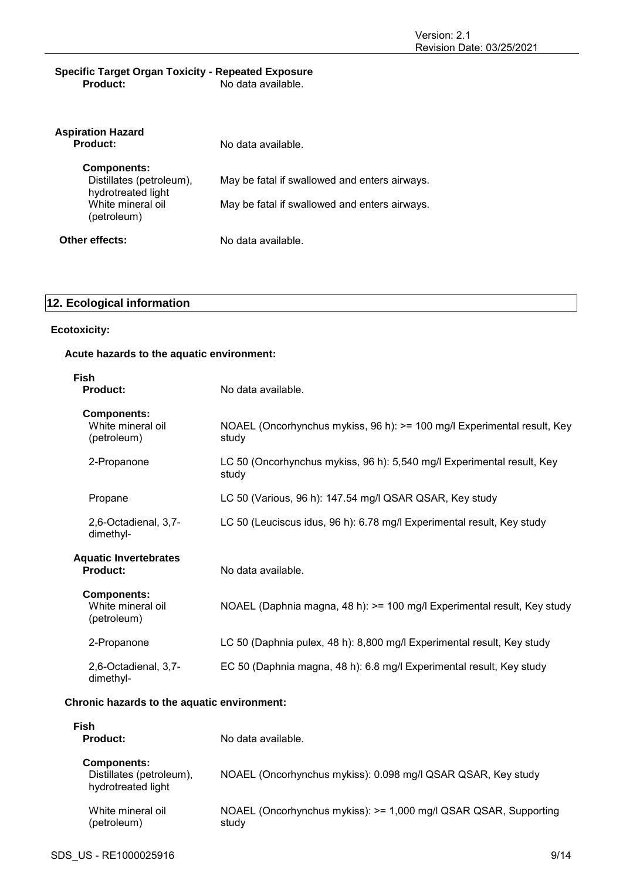## **Specific Target Organ Toxicity - Repeated Exposure Product:** No data available.

| <b>Aspiration Hazard</b><br><b>Product:</b>    | No data available.                            |
|------------------------------------------------|-----------------------------------------------|
| <b>Components:</b>                             |                                               |
| Distillates (petroleum),<br>hydrotreated light | May be fatal if swallowed and enters airways. |
| White mineral oil<br>(petroleum)               | May be fatal if swallowed and enters airways. |
| Other effects:                                 | No data available.                            |

# **12. Ecological information**

## **Ecotoxicity:**

# **Acute hazards to the aquatic environment:**

| <b>Fish</b><br><b>Product:</b>                         | No data available.                                                               |
|--------------------------------------------------------|----------------------------------------------------------------------------------|
| <b>Components:</b><br>White mineral oil<br>(petroleum) | NOAEL (Oncorhynchus mykiss, 96 h): >= 100 mg/l Experimental result, Key<br>study |
| 2-Propanone                                            | LC 50 (Oncorhynchus mykiss, 96 h): 5,540 mg/l Experimental result, Key<br>study  |
| Propane                                                | LC 50 (Various, 96 h): 147.54 mg/l QSAR QSAR, Key study                          |
| 2,6-Octadienal, 3,7-<br>dimethyl-                      | LC 50 (Leuciscus idus, 96 h): 6.78 mg/l Experimental result, Key study           |
| <b>Aquatic Invertebrates</b><br><b>Product:</b>        | No data available.                                                               |
| <b>Components:</b><br>White mineral oil<br>(petroleum) | NOAEL (Daphnia magna, 48 h): > = 100 mg/l Experimental result, Key study         |
| 2-Propanone                                            | LC 50 (Daphnia pulex, 48 h): 8,800 mg/l Experimental result, Key study           |
| 2,6-Octadienal, 3,7-<br>dimethyl-                      | EC 50 (Daphnia magna, 48 h): 6.8 mg/l Experimental result, Key study             |
| Chronic hazards to the aquatic environment:            |                                                                                  |

| Fish                                                                 |                                                                           |
|----------------------------------------------------------------------|---------------------------------------------------------------------------|
| Product:                                                             | No data available.                                                        |
| <b>Components:</b><br>Distillates (petroleum),<br>hydrotreated light | NOAEL (Oncorhynchus mykiss): 0.098 mg/l QSAR QSAR, Key study              |
| White mineral oil<br>(petroleum)                                     | NOAEL (Oncorhynchus mykiss): >= 1,000 mg/l QSAR QSAR, Supporting<br>study |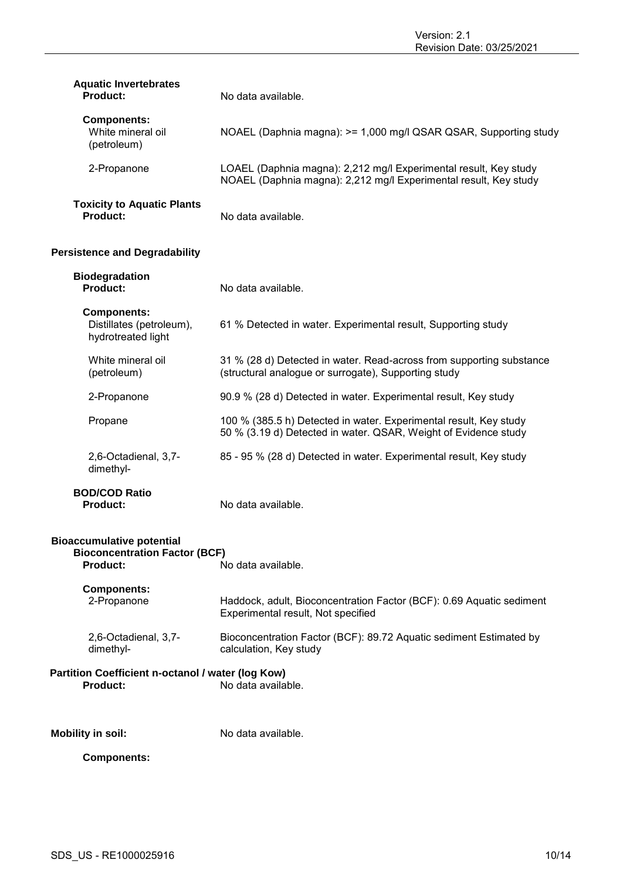| <b>Aquatic Invertebrates</b><br><b>Product:</b>                                             | No data available.                                                                                                                   |
|---------------------------------------------------------------------------------------------|--------------------------------------------------------------------------------------------------------------------------------------|
| <b>Components:</b><br>White mineral oil<br>(petroleum)                                      | NOAEL (Daphnia magna): >= 1,000 mg/l QSAR QSAR, Supporting study                                                                     |
| 2-Propanone                                                                                 | LOAEL (Daphnia magna): 2,212 mg/l Experimental result, Key study<br>NOAEL (Daphnia magna): 2,212 mg/l Experimental result, Key study |
| <b>Toxicity to Aquatic Plants</b><br>Product:                                               | No data available.                                                                                                                   |
| <b>Persistence and Degradability</b>                                                        |                                                                                                                                      |
| <b>Biodegradation</b><br>Product:                                                           | No data available.                                                                                                                   |
| <b>Components:</b><br>Distillates (petroleum),<br>hydrotreated light                        | 61 % Detected in water. Experimental result, Supporting study                                                                        |
| White mineral oil<br>(petroleum)                                                            | 31 % (28 d) Detected in water. Read-across from supporting substance<br>(structural analogue or surrogate), Supporting study         |
| 2-Propanone                                                                                 | 90.9 % (28 d) Detected in water. Experimental result, Key study                                                                      |
| Propane                                                                                     | 100 % (385.5 h) Detected in water. Experimental result, Key study<br>50 % (3.19 d) Detected in water. QSAR, Weight of Evidence study |
| 2,6-Octadienal, 3,7-<br>dimethyl-                                                           | 85 - 95 % (28 d) Detected in water. Experimental result, Key study                                                                   |
| <b>BOD/COD Ratio</b><br><b>Product:</b>                                                     | No data available.                                                                                                                   |
| <b>Bioaccumulative potential</b><br><b>Bioconcentration Factor (BCF)</b><br><b>Product:</b> | No data available.                                                                                                                   |
| <b>Components:</b><br>2-Propanone                                                           | Haddock, adult, Bioconcentration Factor (BCF): 0.69 Aquatic sediment<br>Experimental result, Not specified                           |
| 2,6-Octadienal, 3,7-<br>dimethyl-                                                           | Bioconcentration Factor (BCF): 89.72 Aquatic sediment Estimated by<br>calculation, Key study                                         |
| Partition Coefficient n-octanol / water (log Kow)<br><b>Product:</b>                        | No data available.                                                                                                                   |
| <b>Mobility in soil:</b>                                                                    | No data available.                                                                                                                   |
| <b>Components:</b>                                                                          |                                                                                                                                      |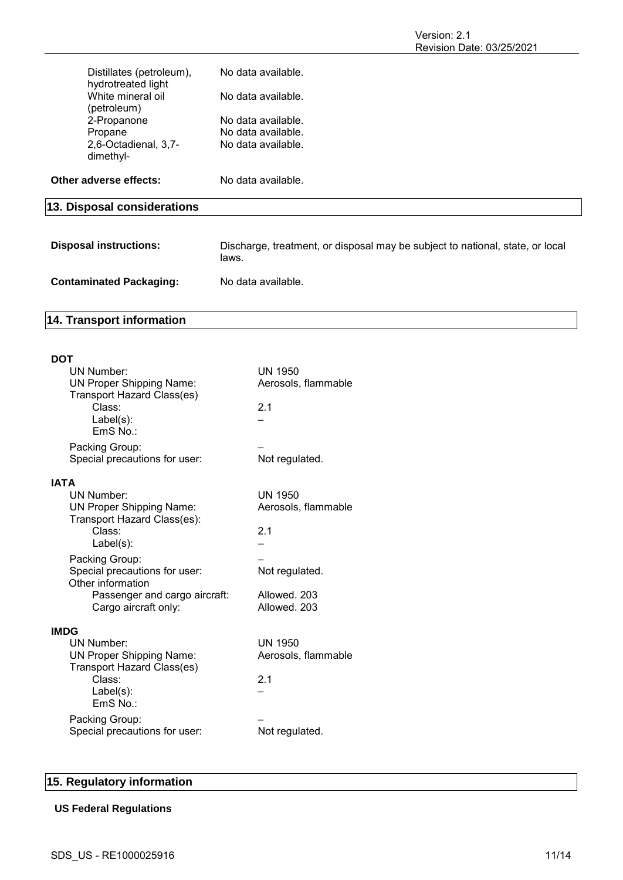Version: 2.1 Revision Date: 03/25/2021

| <b>Disposal instructions:</b>                                       | Discharge, treatment, or disposal may be subject to national, state, or local |
|---------------------------------------------------------------------|-------------------------------------------------------------------------------|
| 13. Disposal considerations                                         |                                                                               |
| Other adverse effects:                                              | No data available.                                                            |
| 2.6-Octadienal, 3.7-<br>dimethyl-                                   | No data available.                                                            |
| Propane                                                             | No data available.                                                            |
| (petroleum)<br>2-Propanone                                          | No data available.                                                            |
| Distillates (petroleum),<br>hydrotreated light<br>White mineral oil | No data available.<br>No data available.                                      |
|                                                                     |                                                                               |

|                                | laws.              |
|--------------------------------|--------------------|
| <b>Contaminated Packaging:</b> | No data available. |

# **14. Transport information**

| DOT         |                                                               |                                       |  |  |  |
|-------------|---------------------------------------------------------------|---------------------------------------|--|--|--|
|             | <b>UN Number:</b>                                             | <b>UN 1950</b><br>Aerosols, flammable |  |  |  |
|             | <b>UN Proper Shipping Name:</b><br>Transport Hazard Class(es) |                                       |  |  |  |
|             | Class:                                                        | 2.1                                   |  |  |  |
|             | $Label(s)$ :<br>EmS No.:                                      |                                       |  |  |  |
|             | Packing Group:                                                |                                       |  |  |  |
|             | Special precautions for user:                                 | Not regulated.                        |  |  |  |
| <b>IATA</b> |                                                               |                                       |  |  |  |
|             | <b>UN Number:</b>                                             | UN 1950                               |  |  |  |
|             | <b>UN Proper Shipping Name:</b>                               | Aerosols, flammable                   |  |  |  |
|             | Transport Hazard Class(es):<br>Class:                         | 2.1                                   |  |  |  |
|             | Label(s):                                                     |                                       |  |  |  |
|             | Packing Group:                                                |                                       |  |  |  |
|             | Special precautions for user:<br>Other information            | Not regulated.                        |  |  |  |
|             | Passenger and cargo aircraft:                                 | Allowed, 203                          |  |  |  |
|             | Cargo aircraft only:                                          | Allowed, 203                          |  |  |  |
| <b>IMDG</b> |                                                               |                                       |  |  |  |
|             | <b>UN Number:</b>                                             | <b>UN 1950</b>                        |  |  |  |
|             | <b>UN Proper Shipping Name:</b>                               | Aerosols, flammable                   |  |  |  |
|             | Transport Hazard Class(es)<br>Class:                          | 2.1                                   |  |  |  |
|             | Label(s):                                                     |                                       |  |  |  |
|             | EmS No.:                                                      |                                       |  |  |  |
|             | Packing Group:                                                |                                       |  |  |  |
|             | Special precautions for user:                                 | Not regulated.                        |  |  |  |
|             |                                                               |                                       |  |  |  |

# **15. Regulatory information**

# **US Federal Regulations**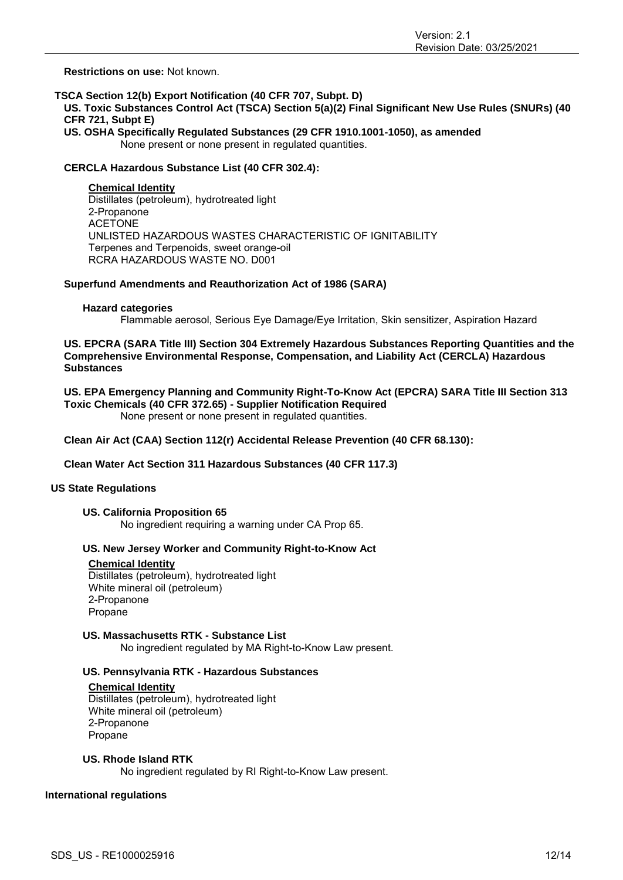**Restrictions on use:** Not known.

## **TSCA Section 12(b) Export Notification (40 CFR 707, Subpt. D)**

**US. Toxic Substances Control Act (TSCA) Section 5(a)(2) Final Significant New Use Rules (SNURs) (40 CFR 721, Subpt E)**

**US. OSHA Specifically Regulated Substances (29 CFR 1910.1001-1050), as amended** None present or none present in regulated quantities.

## **CERCLA Hazardous Substance List (40 CFR 302.4):**

**Chemical Identity** Distillates (petroleum), hydrotreated light 2-Propanone ACETONE UNLISTED HAZARDOUS WASTES CHARACTERISTIC OF IGNITABILITY Terpenes and Terpenoids, sweet orange-oil RCRA HAZARDOUS WASTE NO. D001

## **Superfund Amendments and Reauthorization Act of 1986 (SARA)**

## **Hazard categories**

Flammable aerosol, Serious Eye Damage/Eye Irritation, Skin sensitizer, Aspiration Hazard

**US. EPCRA (SARA Title III) Section 304 Extremely Hazardous Substances Reporting Quantities and the Comprehensive Environmental Response, Compensation, and Liability Act (CERCLA) Hazardous Substances**

**US. EPA Emergency Planning and Community Right-To-Know Act (EPCRA) SARA Title III Section 313 Toxic Chemicals (40 CFR 372.65) - Supplier Notification Required** None present or none present in regulated quantities.

**Clean Air Act (CAA) Section 112(r) Accidental Release Prevention (40 CFR 68.130):**

**Clean Water Act Section 311 Hazardous Substances (40 CFR 117.3)**

## **US State Regulations**

## **US. California Proposition 65**

No ingredient requiring a warning under CA Prop 65.

## **US. New Jersey Worker and Community Right-to-Know Act**

## **Chemical Identity**

Distillates (petroleum), hydrotreated light White mineral oil (petroleum) 2-Propanone Propane

## **US. Massachusetts RTK - Substance List**

No ingredient regulated by MA Right-to-Know Law present.

## **US. Pennsylvania RTK - Hazardous Substances**

#### **Chemical Identity**

Distillates (petroleum), hydrotreated light White mineral oil (petroleum) 2-Propanone Propane

## **US. Rhode Island RTK**

No ingredient regulated by RI Right-to-Know Law present.

## **International regulations**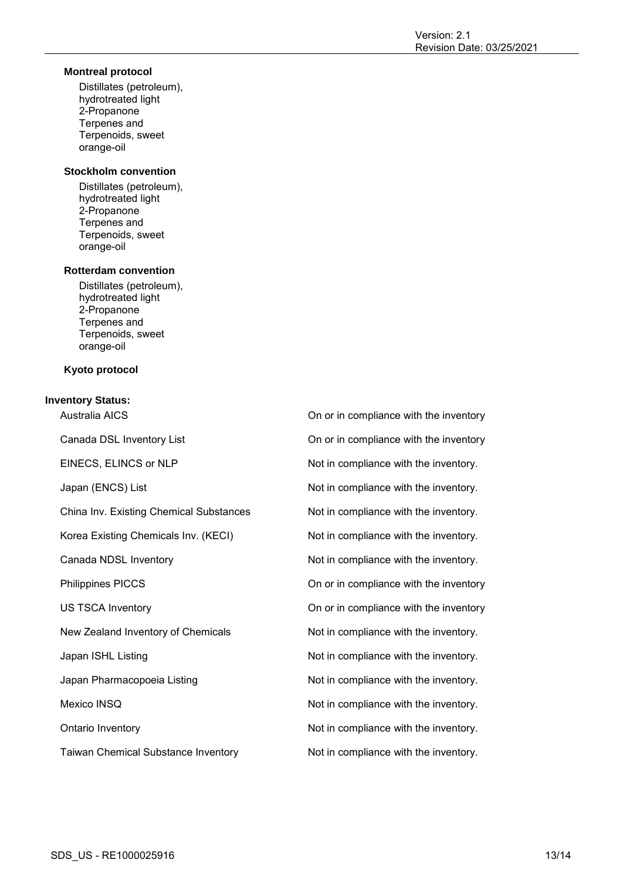## **Montreal protocol**

Distillates (petroleum), hydrotreated light 2-Propanone Terpenes and Terpenoids, sweet orange-oil

## **Stockholm convention**

Distillates (petroleum), hydrotreated light 2-Propanone Terpenes and Terpenoids, sweet orange-oil

## **Rotterdam convention**

Distillates (petroleum), hydrotreated light 2-Propanone Terpenes and Terpenoids, sweet orange-oil

## **Kyoto protocol**

## **Inventory Status:**

China Inv. Existing Chemical Substances Not in compliance with the inventory.

Taiwan Chemical Substance Inventory **Not in compliance with the inventory**.

Australia AICS On or in compliance with the inventory Canada DSL Inventory List **Canada DSL Inventory** List **On or in compliance with the inventory** EINECS, ELINCS or NLP Not in compliance with the inventory. Japan (ENCS) List  $\qquad \qquad$  Not in compliance with the inventory. Korea Existing Chemicals Inv. (KECI) Not in compliance with the inventory. Canada NDSL Inventory **Not in compliance with the inventory.** Not in compliance with the inventory. Philippines PICCS **On** or in compliance with the inventory US TSCA Inventory **ON OUT A** On or in compliance with the inventory New Zealand Inventory of Chemicals Not in compliance with the inventory. Japan ISHL Listing The Motion of the inventory. Not in compliance with the inventory. Japan Pharmacopoeia Listing Not in compliance with the inventory. Mexico INSQ **Not in compliance with the inventory.** Not in compliance with the inventory. Ontario Inventory **Not in compliance with the inventory.** Not in compliance with the inventory.